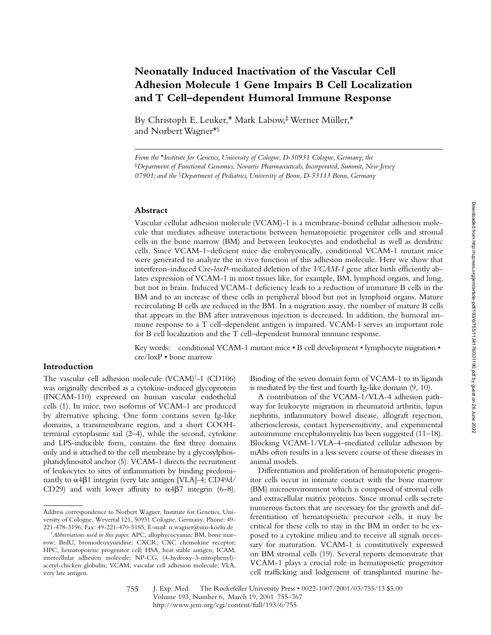# **Neonatally Induced Inactivation of the Vascular Cell Adhesion Molecule 1 Gene Impairs B Cell Localization and T Cell–dependent Humoral Immune Response**

By Christoph E. Leuker,\* Mark Labow,‡ Werner Müller,\* and Norbert Wagner\*§

*From the* \**Institute for Genetics, University of Cologne, D-50931 Cologne, Germany; the*  ‡*Department of Functional Genomics, Novartis Pharmaceuticals, Incorporated, Summit, New Jersey 07901; and the* §*Department of Pediatrics, University of Bonn, D-53113 Bonn, Germany*

### **Abstract**

Vascular cellular adhesion molecule (VCAM)-1 is a membrane-bound cellular adhesion molecule that mediates adhesive interactions between hematopoietic progenitor cells and stromal cells in the bone marrow (BM) and between leukocytes and endothelial as well as dendritic cells. Since VCAM-1–deficient mice die embryonically, conditional VCAM-1 mutant mice were generated to analyze the in vivo function of this adhesion molecule. Here we show that interferon-induced Cre-*loxP–*mediated deletion of the *VCAM-1* gene after birth efficiently ablates expression of VCAM-1 in most tissues like, for example, BM, lymphoid organs, and lung, but not in brain. Induced VCAM-1 deficiency leads to a reduction of immature B cells in the BM and to an increase of these cells in peripheral blood but not in lymphoid organs. Mature recirculating B cells are reduced in the BM. In a migration assay, the number of mature B cells that appears in the BM after intravenous injection is decreased. In addition, the humoral immune response to a T cell–dependent antigen is impaired. VCAM-1 serves an important role for B cell localization and the T cell–dependent humoral immune response.

Key words: conditional VCAM-1 mutant mice • B cell development • lymphocyte migration • cre/loxP • bone marrow

## **Introduction**

The vascular cell adhesion molecule  $(VCAM)^1-1$   $(CD106)$ was originally described as a cytokine-induced glycoprotein (INCAM-110) expressed on human vascular endothelial cells (1). In mice, two isoforms of VCAM-1 are produced by alternative splicing. One form contains seven Ig-like domains, a transmembrane region, and a short COOHterminal cytoplasmic tail (2–4), while the second, cytokine and LPS-inducible form, contains the first three domains only and is attached to the cell membrane by a glycosylphosphatidylinositol anchor (5). VCAM-1 directs the recruitment of leukocytes to sites of inflammation by binding predominantly to  $\alpha$ 4 $\beta$ 1 integrin (very late antigen [VLA]-4; CD49d/ CD29) and with lower affinity to  $\alpha$ 4 $\beta$ 7 integrin (6–8).

Binding of the seven domain form of VCAM-1 to its ligands is mediated by the first and fourth Ig-like domain (9, 10).

A contribution of the VCAM-1/VLA-4 adhesion pathway for leukocyte migration in rheumatoid arthritis, lupus nephritis, inflammatory bowel disease, allograft rejection, atheriosclerosis, contact hypersensitivity, and experimental autoimmune encephalomyelitis has been suggested (11–18). Blocking VCAM-1/VLA-4–mediated cellular adhesion by mAbs often results in a less severe course of these diseases in animal models.

Differentiation and proliferation of hematopoietic progenitor cells occur in intimate contact with the bone marrow (BM) microenvironment which is composed of stromal cells and extracellular matrix proteins. Since stromal cells secrete numerous factors that are necessary for the growth and differentiation of hematopoietic precursor cells, it may be critical for these cells to stay in the BM in order to be exposed to a cytokine milieu and to receive all signals necessary for maturation. VCAM-1 is constitutively expressed on BM stromal cells (19). Several reports demonstrate that VCAM-1 plays a crucial role in hematopoietic progenitor cell trafficking and lodgement of transplanted murine he-

Address correspondence to Norbert Wagner, Institute for Genetics, University of Cologne, Weyertal 121, 50931 Cologne, Germany. Phone: 49- 221-478-3196; Fax: 49-221-470-5185; E-mail: n.wagner@uni-koeln.de

<sup>1</sup>*Abbreviations used in this paper:* APC, allophycocyanin; BM, bone marrow; BrdU, bromodeoxyuridine; CXCR, CXC chemokine receptor; HPC, hematopoietic progenitor cell; HSA, heat stable antigen; ICAM, intercellular adhesion molecule; NP-CG, (4-hydroxy-3-nitrophenyl) acetyl-chicken globulin; VCAM, vascular cell adhesion molecule; VLA, very late antigen.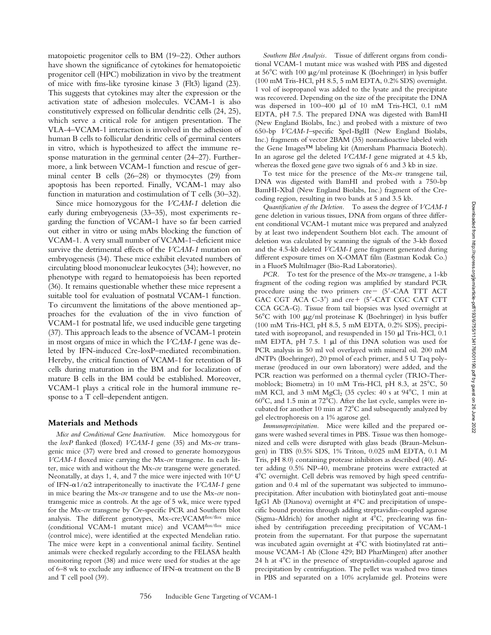matopoietic progenitor cells to BM (19–22). Other authors have shown the significance of cytokines for hematopoietic progenitor cell (HPC) mobilization in vivo by the treatment of mice with fms-like tyrosine kinase 3 (Flt3) ligand (23). This suggests that cytokines may alter the expression or the activation state of adhesion molecules. VCAM-1 is also constitutively expressed on follicular dendritic cells (24, 25), which serve a critical role for antigen presentation. The VLA-4–VCAM-1 interaction is involved in the adhesion of human B cells to follicular dendritic cells of germinal centers in vitro, which is hypothesized to affect the immune response maturation in the germinal center (24–27). Furthermore, a link between VCAM-1 function and rescue of germinal center B cells (26–28) or thymocytes (29) from apoptosis has been reported. Finally, VCAM-1 may also function in maturation and costimulation of T cells (30–32).

Since mice homozygous for the *VCAM-1* deletion die early during embryogenesis (33–35), most experiments regarding the function of VCAM-1 have so far been carried out either in vitro or using mAbs blocking the function of VCAM-1. A very small number of VCAM-1–deficient mice survive the detrimental effects of the *VCAM-1* mutation on embryogenesis (34). These mice exhibit elevated numbers of circulating blood mononuclear leukocytes (34); however, no phenotype with regard to hematopoiesis has been reported (36). It remains questionable whether these mice represent a suitable tool for evaluation of postnatal VCAM-1 function. To circumvent the limitations of the above mentioned approaches for the evaluation of the in vivo function of VCAM-1 for postnatal life, we used inducible gene targeting (37). This approach leads to the absence of VCAM-1 protein in most organs of mice in which the *VCAM-1* gene was deleted by IFN-induced Cre-loxP–mediated recombination. Hereby, the critical function of VCAM-1 for retention of B cells during maturation in the BM and for localization of mature B cells in the BM could be established. Moreover, VCAM-1 plays a critical role in the humoral immune response to a T cell–dependent antigen.

#### **Materials and Methods**

*Mice and Conditional Gene Inactivation.* Mice homozygous for the *loxP* flanked (floxed) *VCAM-1* gene (35) and Mx-*cre* transgenic mice (37) were bred and crossed to generate homozygous *VCAM-1* floxed mice carrying the Mx-*cre* transgene. In each litter, mice with and without the Mx-*cre* transgene were generated. Neonatally, at days 1, 4, and 7 the mice were injected with 106 U of IFN- $\alpha$ 1/ $\alpha$ 2 intraperitoneally to inactivate the *VCAM-1* gene in mice bearing the Mx-*cre* transgene and to use the Mx-*cre* nontransgenic mice as controls. At the age of 5 wk, mice were typed for the Mx-*cre* transgene by *Cre*-specific PCR and Southern blot analysis. The different genotypes, Mx-cre; VCAM<sup>flox/flox</sup> mice (conditional VCAM-1 mutant mice) and VCAMflox/flox mice (control mice), were identified at the expected Mendelian ratio. The mice were kept in a conventional animal facility. Sentinel animals were checked regularly according to the FELASA health monitoring report (38) and mice were used for studies at the age of 6–8 wk to exclude any influence of IFN- $\alpha$  treatment on the B and T cell pool (39).

*Southern Blot Analysis.* Tissue of different organs from conditional VCAM-1 mutant mice was washed with PBS and digested at  $56^{\circ}$ C with 100  $\mu$ g/ml proteinase K (Boehringer) in lysis buffer (100 mM Tris-HCl, pH 8.5, 5 mM EDTA, 0.2% SDS) overnight. 1 vol of isopropanol was added to the lysate and the precipitate was recovered. Depending on the size of the precipitate the DNA was dispersed in 100-400 µl of 10 mM Tris-HCl, 0.1 mM EDTA, pH 7.5. The prepared DNA was digested with BamHI (New England Biolabs, Inc.) and probed with a mixture of two 650-bp *VCAM-1*–specific SpeI-BglII (New England Biolabs, Inc.) fragments of vector 2BAM (35) nonradioactive labeled with the Gene Images™ labeling kit (Amersham Pharmacia Biotech). In an agarose gel the deleted *VCAM-1* gene migrated at 4.5 kb, whereas the floxed gene gave two signals of 6 and 3 kb in size.

To test mice for the presence of the Mx-*cre* transgene tail, DNA was digested with BamHI and probed with a 750-bp BamHI-XbaI (New England Biolabs, Inc.) fragment of the Crecoding region, resulting in two bands at 5 and 3.5 kb.

*Quantification of the Deletion.* To assess the degree of *VCAM-1* gene deletion in various tissues, DNA from organs of three different conditional VCAM-1 mutant mice was prepared and analyzed by at least two independent Southern blot each. The amount of deletion was calculated by scanning the signals of the 3-kb floxed and the 4.5-kb deleted *VCAM-1* gene fragment generated during different exposure times on X-OMAT film (Eastman Kodak Co.) in a FluorS MultiImager (Bio-Rad Laboratories).

*PCR.* To test for the presence of the Mx-*cre* transgene, a 1-kb fragment of the coding region was amplified by standard PCR procedure using the two primers  $cre - (5'-CAA TTT ACT)$ GAC CGT ACA C-3') and cre+ (5'-CAT CGC CAT CTT CCA GCA-G). Tissue from tail biopsies was lysed overnight at  $56^{\circ}$ C with 100  $\mu$ g/ml proteinase K (Boehringer) in lysis buffer (100 mM Tris-HCl, pH 8.5, 5 mM EDTA, 0.2% SDS), precipitated with isopropanol, and resuspended in  $150 \mu$ l Tris-HCl, 0.1 mM EDTA, pH 7.5. 1  $\mu$ l of this DNA solution was used for PCR analysis in 50 ml vol overlayed with mineral oil. 200 mM dNTPs (Boehringer), 20 pmol of each primer, and 5 U Taq polymerase (produced in our own laboratory) were added, and the PCR reaction was performed on a thermal cycler (TRIO-Thermoblock; Biometra) in 10 mM Tris-HCl, pH 8.3, at 25°C, 50 mM KCl, and 3 mM  $MgCl<sub>2</sub>$  (35 cycles: 40 s at 94°C, 1 min at  $60^{\circ}$ C, and 1.5 min at 72 $^{\circ}$ C). After the last cycle, samples were incubated for another 10 min at 72°C and subsequently analyzed by gel electrophoresis on a 1% agarose gel.

*Immunoprecipitation.* Mice were killed and the prepared organs were washed several times in PBS. Tissue was then homogenized and cells were disrupted with glass beads (Braun-Melsungen) in TBS (0.5% SDS, 1% Triton, 0.025 mM EDTA, 0.1 M Tris, pH 8.0) containing protease inhibitors as described (40). After adding 0.5% NP-40, membrane proteins were extracted at 4°C overnight. Cell debris was removed by high speed centrifugation and 0.4 ml of the supernatant was subjected to immunoprecipitation. After incubation with biotinylated goat anti–mouse IgG1 Ab (Dianova) overnight at 4°C and precipitation of unspecific bound proteins through adding streptavidin-coupled agarose (Sigma-Aldrich) for another night at  $4^{\circ}C$ , preclearing was finished by centrifugation preceeding precipitation of VCAM-1 protein from the supernatant. For that purpose the supernatant was incubated again overnight at  $4^{\circ}$ C with biotinylated rat antimouse VCAM-1 Ab (Clone 429; BD PharMingen) after another 24 h at  $4^{\circ}$ C in the presence of streptavidin-coupled agarose and precipitation by centrifugation. The pellet was washed two times in PBS and separated on a 10% acrylamide gel. Proteins were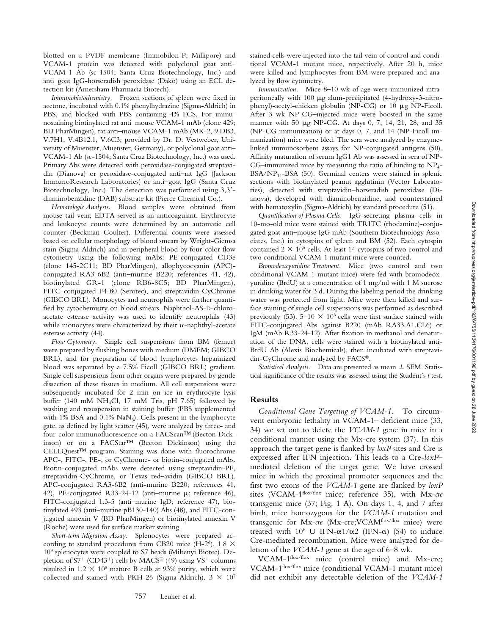blotted on a PVDF membrane (Immobilon-P; Millipore) and VCAM-1 protein was detected with polyclonal goat anti– VCAM-1 Ab (sc-1504; Santa Cruz Biotechnology, Inc.) and anti–goat IgG-horseradish peroxidase (Dako) using an ECL detection kit (Amersham Pharmacia Biotech).

*Immunohistochemistry.* Frozen sections of spleen were fixed in acetone, incubated with 0.1% phenylhydrazine (Sigma-Aldrich) in PBS, and blocked with PBS containing 4% FCS. For immunostaining biotinylated rat anti–mouse VCAM-1 mAb (clone 429; BD PharMingen), rat anti–mouse VCAM-1 mAb (MK-2, 9.DB3, V.7H1, V.4B12.1, V.6C3; provided by Dr. D. Vestweber, University of Muenster, Muenster, Germany), or polyclonal goat anti– VCAM-1 Ab (sc-1504; Santa Cruz Biotechnology, Inc.) was used. Primary Abs were detected with peroxidase-conjugated streptavidin (Dianova) or peroxidase-conjugated anti–rat IgG (Jackson ImmunoResearch Laboratories) or anti–goat IgG (Santa Cruz Biotechnology, Inc.). The detection was performed using  $3,3'$ diaminobenzidine (DAB) substrate kit (Pierce Chemical Co.).

*Hematologic Analysis.* Blood samples were obtained from mouse tail vein; EDTA served as an anticoagulant. Erythrocyte and leukocyte counts were determined by an automatic cell counter (Beckman Coulter). Differential counts were assessed based on cellular morphology of blood smears by Wright-Giemsa stain (Sigma-Aldrich) and in peripheral blood by four-color flow cytometry using the following mAbs: PE-conjugated CD3e (clone 145-2C11; BD PharMingen), allophycocyanin (APC) conjugated RA3-6B2 (anti–murine B220; references 41, 42), biotinylated GR-1 (clone RB6-8C5; BD PharMingen), FITC-conjugated F4-80 (Serotec), and streptavidin-CyChrome (GIBCO BRL). Monocytes and neutrophils were further quantified by cytochemistry on blood smears. Naphthol-AS-D-chloroacetate esterase activity was used to identify neutrophils (43) while monocytes were characterized by their  $\alpha$ -naphthyl-acetate esterase activity (44).

*Flow Cytometry.* Single cell suspensions from BM (femur) were prepared by flushing bones with medium (DMEM; GIBCO BRL), and for preparation of blood lymphocytes heparinized blood was separated by a 7.5% Ficoll (GIBCO BRL) gradient. Single cell suspensions from other organs were prepared by gentle dissection of these tissues in medium. All cell suspensions were subsequently incubated for 2 min on ice in erythrocyte lysis buffer (140 mM NH4Cl, 17 mM Tris, pH 7.65) followed by washing and resuspension in staining buffer (PBS supplemented with 1% BSA and  $0.1\%$  NaN<sub>3</sub>). Cells present in the lymphocyte gate, as defined by light scatter (45), were analyzed by three- and four-color immunofluorescence on a FACScan™ (Becton Dickinson) or on a FACStar™ (Becton Dickinson) using the CELLQuest™ program. Staining was done with fluorochrome APC-, FITC-, PE-, or CyChrome- or biotin-conjugated mAbs. Biotin-conjugated mAbs were detected using streptavidin-PE, streptavidin-CyChrome, or Texas red–avidin (GIBCO BRL). APC-conjugated RA3-6B2 (anti-murine B220; references 41, 42), PE-conjugated R33-24-12 (anti-murine  $\mu$ ; reference 46), FITC-conjugated 1.3-5 (anti–murine IgD; reference 47), biotinylated 493 (anti–murine pB130-140) Abs (48), and FITC-conjugated annexin V (BD PharMingen) or biotinylated annexin V (Roche) were used for surface marker staining.

*Short-term Migration Assay.* Splenocytes were prepared according to standard procedures from CB20 mice (H-2<sup>d</sup>). 1.8  $\times$ 109 splenocytes were coupled to S7 beads (Miltenyi Biotec). Depletion of  $S7^+$  (CD43<sup>+</sup>) cells by MACS<sup>®</sup> (49) using VS<sup>+</sup> columns resulted in  $1.2 \times 10^8$  mature B cells at 93% purity, which were collected and stained with PKH-26 (Sigma-Aldrich).  $3 \times 10^7$  stained cells were injected into the tail vein of control and conditional VCAM-1 mutant mice, respectively. After 20 h, mice were killed and lymphocytes from BM were prepared and analyzed by flow cytometry.

*Immunization.* Mice 8–10 wk of age were immunized intraperitoneally with 100 mg alum-precipitated (4-hydroxy-3-nitrophenyl)-acetyl-chicken globulin (NP-CG) or 10 mg NP-Ficoll. After 3 wk NP-CG–injected mice were boosted in the same manner with 50  $\mu$ g NP-CG. At days 0, 7, 14, 21, 28, and 35 (NP-CG immunization) or at days 0, 7, and 14 (NP-Ficoll immunization) mice were bled. The sera were analyzed by enzymelinked immunosorbent assays for NP-conjugated antigens (50). Affinity maturation of serum IgG1 Ab was assessed in sera of NP-CG–immunized mice by measuring the ratio of binding to  $NP<sub>4</sub>$ –  $BSA/NP<sub>14</sub>-BSA$  (50). Germinal centers were stained in splenic sections with biotinylated peanut agglutinin (Vector Laboratories), detected with streptavidin–horseradish peroxidase (Dianova), developed with diaminobenzidine, and counterstained with hematoxylin (Sigma-Aldrich) by standard procedure (51).

*Quantification of Plasma Cells.* IgG-secreting plasma cells in 10-mo-old mice were stained with TRITC (rhodamine)-conjugated goat anti–mouse IgG mAb (Southern Biotechnology Associates, Inc.) in cytospins of spleen and BM (52). Each cytospin contained  $2 \times 10^5$  cells. At least 14 cytospins of two control and two conditional VCAM-1 mutant mice were counted.

*Bromodeoxyuridine Treatment.* Mice (two control and two conditional VCAM-1 mutant mice) were fed with bromodeoxyuridine (BrdU) at a concentration of 1 mg/ml with 1 M sucrose in drinking water for 3 d. During the labeling period the drinking water was protected from light. Mice were then killed and surface staining of single cell suspensions was performed as described previously (53).  $5-10 \times 10^6$  cells were first surface stained with FITC-conjugated Abs against B220 (mAb RA33.A1.CL6) or IgM (mAb R33-24-12). After fixation in methanol and denaturation of the DNA, cells were stained with a biotinylated anti-BrdU Ab (Alexis Biochemicals), then incubated with streptavidin-CyChrome and analyzed by FACS®.

*Statistical Analysis.* Data are presented as mean  $\pm$  SEM. Statistical significance of the results was assessed using the Student's *t* test.

## **Results**

*Conditional Gene Targeting of VCAM-1.* To circumvent embryonic lethality in VCAM-1– deficient mice (33, 34) we set out to delete the *VCAM-1* gene in mice in a conditional manner using the Mx-cre system (37). In this approach the target gene is flanked by *loxP* sites and Cre is expressed after IFN injection. This leads to a Cre-*loxP*– mediated deletion of the target gene. We have crossed mice in which the proximal promoter sequences and the first two exons of the *VCAM-1* gene are flanked by *loxP* sites (VCAM-1<sup>flox/flox</sup> mice; reference 35), with Mx-cre transgenic mice (37; Fig. 1 A). On days 1, 4, and 7 after birth, mice homozygous for the *VCAM-1* mutation and transgenic for Mx-cre (Mx-cre; VCAM<sup>flox/flox</sup> mice) were treated with 10<sup>6</sup> U IFN- $\alpha$ 1/ $\alpha$ 2 (IFN- $\alpha$ ) (54) to induce Cre-mediated recombination. Mice were analyzed for deletion of the *VCAM-1* gene at the age of 6–8 wk.

VCAM-1flox/flox mice (control mice) and Mx-cre; VCAM-1flox/flox mice (conditional VCAM-1 mutant mice) did not exhibit any detectable deletion of the *VCAM-1*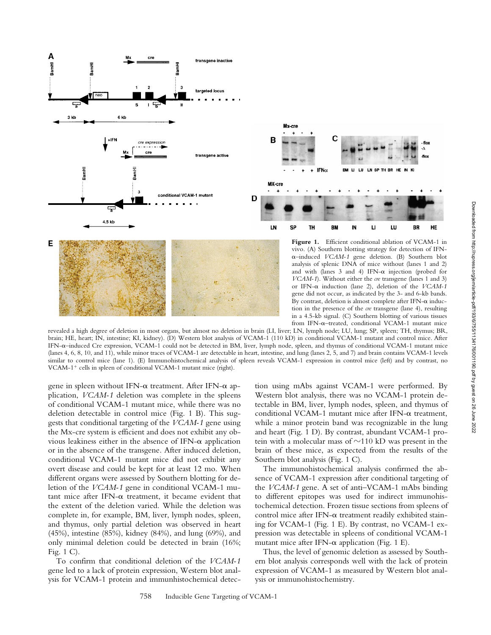

revealed a high degree of deletion in most organs, but almost no deletion in brain (LI, liver; LN, lymph node; LU, lung; SP, spleen; TH, thymus; BR, brain; HE, heart; IN, intestine; KI, kidney). (D) Western blot analysis of VCAM-1 (110 kD) in conditional VCAM-1 mutant and control mice. After IFN-a–induced Cre expression, VCAM-1 could not be detected in BM, liver, lymph node, spleen, and thymus of conditional VCAM-1 mutant mice (lanes 4, 6, 8, 10, and 11), while minor traces of VCAM-1 are detectable in heart, intestine, and lung (lanes 2, 5, and 7) and brain contains VCAM-1 levels similar to control mice (lane 1). (E) Immunohistochemical analysis of spleen reveals VCAM-1 expression in control mice (left) and by contrast, no VCAM-1<sup>+</sup> cells in spleen of conditional VCAM-1 mutant mice (right).

gene in spleen without IFN- $\alpha$  treatment. After IFN- $\alpha$  application, *VCAM-1* deletion was complete in the spleens of conditional VCAM-1 mutant mice, while there was no deletion detectable in control mice (Fig. 1 B). This suggests that conditional targeting of the *VCAM-1* gene using the Mx-cre system is efficient and does not exhibit any obvious leakiness either in the absence of IFN- $\alpha$  application or in the absence of the transgene. After induced deletion, conditional VCAM-1 mutant mice did not exhibit any overt disease and could be kept for at least 12 mo. When different organs were assessed by Southern blotting for deletion of the *VCAM-1* gene in conditional VCAM-1 mutant mice after IFN- $\alpha$  treatment, it became evident that the extent of the deletion varied. While the deletion was complete in, for example, BM, liver, lymph nodes, spleen, and thymus, only partial deletion was observed in heart (45%), intestine (85%), kidney (84%), and lung (69%), and only minimal deletion could be detected in brain (16%; Fig. 1 C).

To confirm that conditional deletion of the *VCAM-1* gene led to a lack of protein expression, Western blot analysis for VCAM-1 protein and immunhistochemical detection using mAbs against VCAM-1 were performed. By Western blot analysis, there was no VCAM-1 protein detectable in BM, liver, lymph nodes, spleen, and thymus of conditional VCAM-1 mutant mice after IFN-a treatment, while a minor protein band was recognizable in the lung and heart (Fig. 1 D). By contrast, abundant VCAM-1 protein with a molecular mass of  $\sim$ 110 kD was present in the brain of these mice, as expected from the results of the Southern blot analysis (Fig. 1 C).

The immunohistochemical analysis confirmed the absence of VCAM-1 expression after conditional targeting of the *VCAM-1* gene. A set of anti–VCAM-1 mAbs binding to different epitopes was used for indirect immunohistochemical detection. Frozen tissue sections from spleens of control mice after IFN- $\alpha$  treatment readily exhibited staining for VCAM-1 (Fig. 1 E). By contrast, no VCAM-1 expression was detectable in spleens of conditional VCAM-1 mutant mice after IFN- $\alpha$  application (Fig. 1 E).

Thus, the level of genomic deletion as assessed by Southern blot analysis corresponds well with the lack of protein expression of VCAM-1 as measured by Western blot analysis or immunohistochemistry.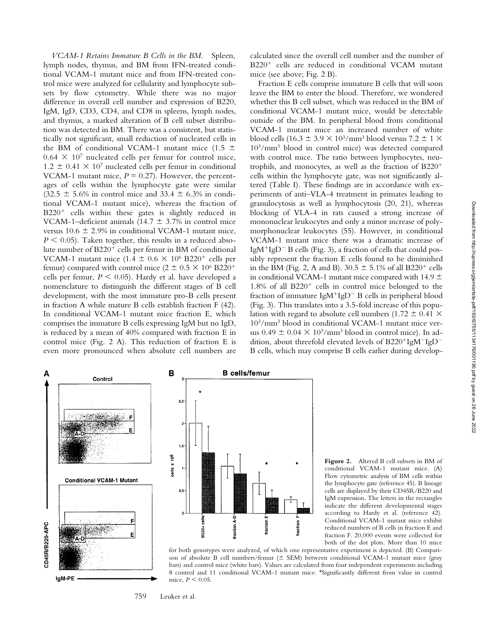*VCAM-1 Retains Immature B Cells in the BM.* Spleen, lymph nodes, thymus, and BM from IFN-treated conditional VCAM-1 mutant mice and from IFN-treated control mice were analyzed for cellularity and lymphocyte subsets by flow cytometry. While there was no major difference in overall cell number and expression of B220, IgM, IgD, CD3, CD4, and CD8 in spleens, lymph nodes, and thymus, a marked alteration of B cell subset distribution was detected in BM. There was a consistent, but statistically not significant, small reduction of nucleated cells in the BM of conditional VCAM-1 mutant mice (1.5  $\pm$  $0.64 \times 10^7$  nucleated cells per femur for control mice,  $1.2 \pm 0.41 \times 10^7$  nucleated cells per femur in conditional VCAM-1 mutant mice,  $P = 0.27$ ). However, the percentages of cells within the lymphocyte gate were similar  $(32.5 \pm 5.6\%$  in control mice and 33.4  $\pm$  6.3% in conditional VCAM-1 mutant mice), whereas the fraction of  $B220<sup>+</sup>$  cells within these gates is slightly reduced in VCAM-1–deficient animals (14.7  $\pm$  3.7% in control mice versus 10.6  $\pm$  2.9% in conditional VCAM-1 mutant mice,  $P \leq 0.05$ ). Taken together, this results in a reduced absolute number of  $B220<sup>+</sup>$  cells per femur in BM of conditional VCAM-1 mutant mice (1.4  $\pm$  0.6  $\times$  10<sup>6</sup> B220<sup>+</sup> cells per femur) compared with control mice ( $2 \pm 0.5 \times 10^6$  B220<sup>+</sup> cells per femur,  $P \le 0.05$ ). Hardy et al. have developed a nomenclature to distinguish the different stages of B cell development, with the most immature pro-B cells present in fraction A while mature B cells establish fraction F (42). In conditional VCAM-1 mutant mice fraction E, which comprises the immature B cells expressing IgM but no IgD, is reduced by a mean of 40% compared with fraction E in control mice (Fig. 2 A). This reduction of fraction E is even more pronounced when absolute cell numbers are

calculated since the overall cell number and the number of B220<sup>+</sup> cells are reduced in conditional VCAM mutant mice (see above; Fig. 2 B).

Fraction E cells comprise immature B cells that will soon leave the BM to enter the blood. Therefore, we wondered whether this B cell subset, which was reduced in the BM of conditional VCAM-1 mutant mice, would be detectable outside of the BM. In peripheral blood from conditional VCAM-1 mutant mice an increased number of white blood cells (16.3  $\pm$  3.9  $\times$  10<sup>3</sup>/mm<sup>3</sup> blood versus 7.2  $\pm$  1  $\times$ 103/mm3 blood in control mice) was detected compared with control mice. The ratio between lymphocytes, neutrophils, and monocytes, as well as the fraction of  $B220<sup>+</sup>$ cells within the lymphocyte gate, was not significantly altered (Table I). These findings are in accordance with experiments of anti–VLA-4 treatment in primates leading to granulocytosis as well as lymphocytosis (20, 21), whereas blocking of VLA-4 in rats caused a strong increase of mononuclear leukocytes and only a minor increase of polymorphonuclear leukocytes (55). However, in conditional VCAM-1 mutant mice there was a dramatic increase of Ig $M^+$ Ig $D^-$  B cells (Fig. 3), a fraction of cells that could possibly represent the fraction E cells found to be diminished in the BM (Fig. 2, A and B).  $30.5 \pm 5.1\%$  of all B220<sup>+</sup> cells in conditional VCAM-1 mutant mice compared with 14.9  $\pm$  $1.8\%$  of all  $B220<sup>+</sup>$  cells in control mice belonged to the fraction of immature  $IgM^{+}IgD^{-}B$  cells in peripheral blood (Fig. 3). This translates into a 3.5-fold increase of this population with regard to absolute cell numbers (1.72  $\pm$  0.41  $\times$ 103/mm3 blood in conditional VCAM-1 mutant mice versus  $0.49 \pm 0.04 \times 10^{3}/$ mm<sup>3</sup> blood in control mice). In addition, about threefold elevated levels of  $B220^{+}IgM^{-}IgD^{-}$ B cells, which may comprise B cells earlier during develop-





**Figure 2.** Altered B cell subsets in BM of conditional VCAM-1 mutant mice. (A) Flow cytometric analysis of BM cells within the lymphocyte gate (reference 45). B lineage cells are displayed by their CD45R/B220 and IgM expression. The letters in the rectangles indicate the different developmental stages according to Hardy et al. (reference 42). Conditional VCAM-1 mutant mice exhibit reduced numbers of B cells in fraction E and fraction F. 20,000 events were collected for both of the dot plots. More than 10 mice



759 Leuker et al.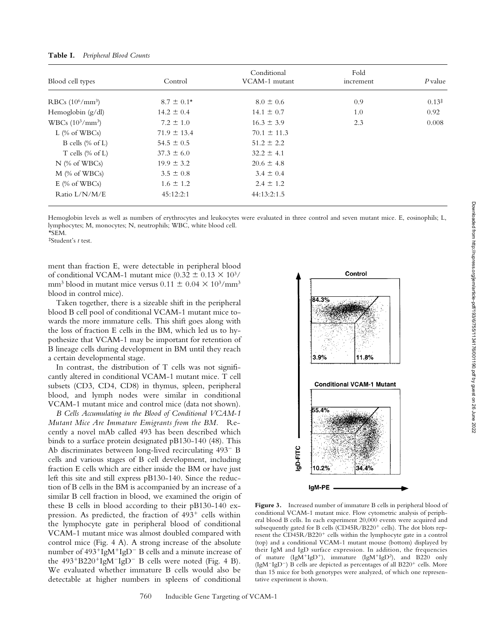| Blood cell types             | Control         | Conditional<br>VCAM-1 mutant | Fold<br>increment | P value |
|------------------------------|-----------------|------------------------------|-------------------|---------|
|                              |                 |                              |                   |         |
| Hemoglobin $(g/dl)$          | $14.2 \pm 0.4$  | $14.1 \pm 0.7$               | 1.0               | 0.92    |
| $WBCs (10^3/mm^3)$           | $7.2 \pm 1.0$   | $16.3 \pm 3.9$               | 2.3               | 0.008   |
| L $(\%$ of WBCs)             | $71.9 \pm 13.4$ | $70.1 \pm 11.3$              |                   |         |
| B cells $(\% \text{ of } L)$ | $54.5 \pm 0.5$  | $51.2 \pm 2.2$               |                   |         |
| T cells $(\% \text{ of } L)$ | $37.3 \pm 6.0$  | $32.2 \pm 4.1$               |                   |         |
| $N$ (% of WBCs)              | $19.9 \pm 3.2$  | $20.6 \pm 4.8$               |                   |         |
| $M$ (% of WBCs)              | $3.5 \pm 0.8$   | $3.4 \pm 0.4$                |                   |         |
| $E \,$ (% of WBCs)           | $1.6 \pm 1.2$   | $2.4 \pm 1.2$                |                   |         |
| Ratio L/N/M/E                | 45:12:2:1       | 44:13:2:1.5                  |                   |         |

**Table I.** *Peripheral Blood Counts*

Hemoglobin levels as well as numbers of erythrocytes and leukocytes were evaluated in three control and seven mutant mice. E, eosinophils; L, lymphocytes; M, monocytes; N, neutrophils; WBC, white blood cell. \*SEM.

‡Student's *t* test.

ment than fraction E, were detectable in peripheral blood of conditional VCAM-1 mutant mice (0.32  $\pm$  0.13  $\times$  10<sup>3</sup>/ mm<sup>3</sup> blood in mutant mice versus  $0.11 \pm 0.04 \times 10^{3}/\text{mm}^{3}$ blood in control mice).

Taken together, there is a sizeable shift in the peripheral blood B cell pool of conditional VCAM-1 mutant mice towards the more immature cells. This shift goes along with the loss of fraction E cells in the BM, which led us to hypothesize that VCAM-1 may be important for retention of B lineage cells during development in BM until they reach a certain developmental stage.

In contrast, the distribution of T cells was not significantly altered in conditional VCAM-1 mutant mice. T cell subsets (CD3, CD4, CD8) in thymus, spleen, peripheral blood, and lymph nodes were similar in conditional VCAM-1 mutant mice and control mice (data not shown).

*B Cells Accumulating in the Blood of Conditional VCAM-1 Mutant Mice Are Immature Emigrants from the BM.* Recently a novel mAb called 493 has been described which binds to a surface protein designated pB130-140 (48). This Ab discriminates between long-lived recirculating  $493 - B$ cells and various stages of B cell development, including fraction E cells which are either inside the BM or have just left this site and still express pB130-140. Since the reduction of B cells in the BM is accompanied by an increase of a similar B cell fraction in blood, we examined the origin of these B cells in blood according to their pB130-140 expression. As predicted, the fraction of  $493<sup>+</sup>$  cells within the lymphocyte gate in peripheral blood of conditional VCAM-1 mutant mice was almost doubled compared with control mice (Fig. 4 A). A strong increase of the absolute number of  $493^{+}IgM^{+}IgD^{-}B$  cells and a minute increase of the  $493^{+}B220^{+}IgM^{-}IgD^{-}B$  cells were noted (Fig. 4 B). We evaluated whether immature B cells would also be detectable at higher numbers in spleens of conditional



**Figure 3.** Increased number of immature B cells in peripheral blood of conditional VCAM-1 mutant mice. Flow cytometric analysis of peripheral blood B cells. In each experiment 20,000 events were acquired and subsequently gated for B cells  $(CD45R/B220<sup>+</sup>$  cells). The dot blots represent the CD45R/B220<sup>+</sup> cells within the lymphocyte gate in a control (top) and a conditional VCAM-1 mutant mouse (bottom) displayed by their IgM and IgD surface expression. In addition, the frequencies of mature  $(IgM^+IgD^+)$ , immature  $(IgM^+IgD^2)$ , and B220 only (IgM<sup>-</sup>IgD<sup>-</sup>) B cells are depicted as percentages of all B220<sup>+</sup> cells. More than 15 mice for both genotypes were analyzed, of which one representative experiment is shown.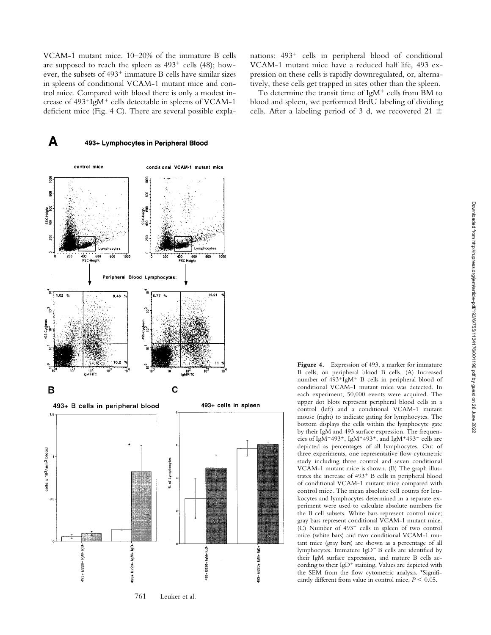VCAM-1 mutant mice. 10–20% of the immature B cells are supposed to reach the spleen as  $493^+$  cells (48); however, the subsets of  $493^+$  immature B cells have similar sizes in spleens of conditional VCAM-1 mutant mice and control mice. Compared with blood there is only a modest increase of  $493^+$ IgM<sup>+</sup> cells detectable in spleens of VCAM-1 deficient mice (Fig. 4 C). There are several possible expla-



cells x 10<sup>3</sup>/mm<sup>3</sup> blood % of Lymphocytes  $0.5$ 493+ B220+ IgM- IgD-493+ B220+ IgM+ IgDė 흘 B220+ IgM+ i<br>S 6220+ 493+ \$

761 Leuker et al.

nations: 493<sup>+</sup> cells in peripheral blood of conditional VCAM-1 mutant mice have a reduced half life, 493 expression on these cells is rapidly downregulated, or, alternatively, these cells get trapped in sites other than the spleen.

To determine the transit time of IgM $<sup>+</sup>$  cells from BM to</sup> blood and spleen, we performed BrdU labeling of dividing cells. After a labeling period of 3 d, we recovered 21  $\pm$ 

> **Figure 4.** Expression of 493, a marker for immature B cells, on peripheral blood B cells. (A) Increased number of  $493^{+1}$ gM<sup>+</sup> B cells in peripheral blood of conditional VCAM-1 mutant mice was detected. In each experiment, 50,000 events were acquired. The upper dot blots represent peripheral blood cells in a control (left) and a conditional VCAM-1 mutant mouse (right) to indicate gating for lymphocytes. The bottom displays the cells within the lymphocyte gate by their IgM and 493 surface expression. The frequencies of IgM<sup>-493<sup>+</sup>, IgM<sup>+493<sup>+</sup>, and IgM<sup>+493<sup>-</sup> cells are</sup></sup></sup> depicted as percentages of all lymphocytes. Out of three experiments, one representative flow cytometric study including three control and seven conditional VCAM-1 mutant mice is shown. (B) The graph illustrates the increase of  $493$ <sup>+</sup> B cells in peripheral blood of conditional VCAM-1 mutant mice compared with control mice. The mean absolute cell counts for leukocytes and lymphocytes determined in a separate experiment were used to calculate absolute numbers for the B cell subsets. White bars represent control mice; gray bars represent conditional VCAM-1 mutant mice. (C) Number of  $493<sup>+</sup>$  cells in spleen of two control mice (white bars) and two conditional VCAM-1 mutant mice (gray bars) are shown as a percentage of all lymphocytes. Immature IgD<sup>-</sup> B cells are identified by their IgM surface expression, and mature B cells according to their IgD<sup>+</sup> staining. Values are depicted with the SEM from the flow cytometric analysis. \*Significantly different from value in control mice,  $P \leq 0.05$ .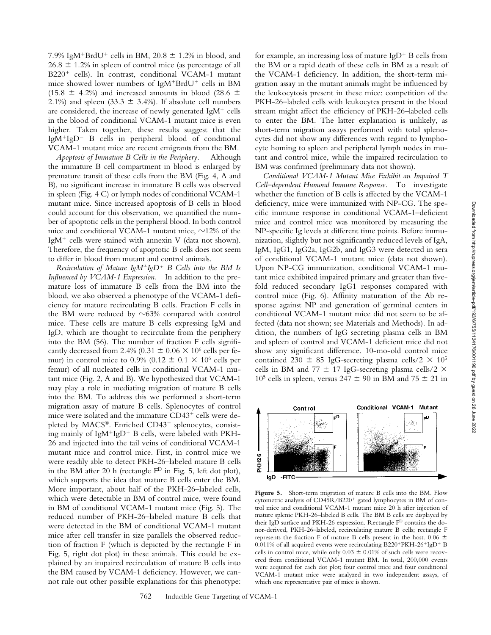7.9% IgM<sup>+</sup>BrdU<sup>+</sup> cells in BM, 20.8  $\pm$  1.2% in blood, and  $26.8 \pm 1.2\%$  in spleen of control mice (as percentage of all  $B220<sup>+</sup>$  cells). In contrast, conditional VCAM-1 mutant mice showed lower numbers of  $IgM^+BrdU^+$  cells in BM (15.8  $\pm$  4.2%) and increased amounts in blood (28.6  $\pm$ 2.1%) and spleen (33.3  $\pm$  3.4%). If absolute cell numbers are considered, the increase of newly generated  $IgM^+$  cells in the blood of conditional VCAM-1 mutant mice is even higher. Taken together, these results suggest that the  $IgM^{+}IgD^{-}B$  cells in peripheral blood of conditional VCAM-1 mutant mice are recent emigrants from the BM.

*Apoptosis of Immature B Cells in the Periphery.* Although the immature B cell compartment in blood is enlarged by premature transit of these cells from the BM (Fig. 4, A and B), no significant increase in immature B cells was observed in spleen (Fig. 4 C) or lymph nodes of conditional VCAM-1 mutant mice. Since increased apoptosis of B cells in blood could account for this observation, we quantified the number of apoptotic cells in the peripheral blood. In both control mice and conditional VCAM-1 mutant mice,  $\sim$ 12% of the IgM<sup>+</sup> cells were stained with annexin V (data not shown). Therefore, the frequency of apoptotic B cells does not seem to differ in blood from mutant and control animals.

*Recirculation of Mature IgM<sup>+</sup>IgD<sup>+</sup> B Cells into the BM Is Influenced by VCAM-1 Expression.* In addition to the premature loss of immature B cells from the BM into the blood, we also observed a phenotype of the VCAM-1 deficiency for mature recirculating B cells. Fraction F cells in the BM were reduced by  $\sim 63\%$  compared with control mice. These cells are mature B cells expressing IgM and IgD, which are thought to recirculate from the periphery into the BM (56). The number of fraction F cells significantly decreased from 2.4% (0.31  $\pm$  0.06  $\times$  10<sup>6</sup> cells per femur) in control mice to 0.9% (0.12  $\pm$  0.1  $\times$  10<sup>6</sup> cells per femur) of all nucleated cells in conditional VCAM-1 mutant mice (Fig. 2, A and B). We hypothesized that VCAM-1 may play a role in mediating migration of mature B cells into the BM. To address this we performed a short-term migration assay of mature B cells. Splenocytes of control mice were isolated and the immature CD43<sup>+</sup> cells were depleted by  $MACS^{\circledR}$ . Enriched  $CD43^-$  splenocytes, consisting mainly of  $IgM^{+}IgD^{+}B$  cells, were labeled with PKH-26 and injected into the tail veins of conditional VCAM-1 mutant mice and control mice. First, in control mice we were readily able to detect PKH-26–labeled mature B cells in the BM after 20 h (rectangle  $F<sup>D</sup>$  in Fig. 5, left dot plot), which supports the idea that mature B cells enter the BM. More important, about half of the PKH-26–labeled cells, which were detectable in BM of control mice, were found in BM of conditional VCAM-1 mutant mice (Fig. 5). The reduced number of PKH-26–labeled mature B cells that were detected in the BM of conditional VCAM-1 mutant mice after cell transfer in size parallels the observed reduction of fraction F (which is depicted by the rectangle F in Fig. 5, right dot plot) in these animals. This could be explained by an impaired recirculation of mature B cells into the BM caused by VCAM-1 deficiency. However, we cannot rule out other possible explanations for this phenotype:

for example, an increasing loss of mature  $IgD^+B$  cells from the BM or a rapid death of these cells in BM as a result of the VCAM-1 deficiency. In addition, the short-term migration assay in the mutant animals might be influenced by the leukocytosis present in these mice: competition of the PKH-26–labeled cells with leukocytes present in the blood stream might affect the efficiency of PKH-26–labeled cells to enter the BM. The latter explanation is unlikely, as short-term migration assays performed with total splenocytes did not show any differences with regard to lymphocyte homing to spleen and peripheral lymph nodes in mutant and control mice, while the impaired recirculation to BM was confirmed (preliminary data not shown).

*Conditional VCAM-1 Mutant Mice Exhibit an Impaired T Cell–dependent Humoral Immune Response.* To investigate whether the function of B cells is affected by the VCAM-1 deficiency, mice were immunized with NP-CG. The specific immune response in conditional VCAM-1–deficient mice and control mice was monitored by measuring the NP-specific Ig levels at different time points. Before immunization, slightly but not significantly reduced levels of IgA, IgM, IgG1, IgG2a, IgG2b, and IgG3 were detected in sera of conditional VCAM-1 mutant mice (data not shown). Upon NP-CG immunization, conditional VCAM-1 mutant mice exhibited impaired primary and greater than fivefold reduced secondary IgG1 responses compared with control mice (Fig. 6). Affinity maturation of the Ab response against NP and generation of germinal centers in conditional VCAM-1 mutant mice did not seem to be affected (data not shown; see Materials and Methods). In addition, the numbers of IgG secreting plasma cells in BM and spleen of control and VCAM-1 deficient mice did not show any significant difference. 10-mo-old control mice contained 230  $\pm$  85 IgG-secreting plasma cells/2  $\times$  10<sup>5</sup> cells in BM and 77  $\pm$  17 IgG-secreting plasma cells/2  $\times$  $10^5$  cells in spleen, versus 247  $\pm$  90 in BM and 75  $\pm$  21 in



**Figure 5.** Short-term migration of mature B cells into the BM. Flow cytometric analysis of CD45R/B220<sup>+</sup> gated lymphocytes in BM of control mice and conditional VCAM-1 mutant mice 20 h after injection of mature splenic PKH-26–labeled B cells. The BM B cells are displayed by their IgD surface and PKH-26 expression. Rectangle FD contains the donor-derived, PKH-26–labeled, recirculating mature B cells; rectangle F represents the fraction F of mature B cells present in the host. 0.06  $\pm$ 0.011% of all acquired events were recirculating B220+PKH-26+IgD+ B cells in control mice, while only  $0.03 \pm 0.01\%$  of such cells were recovered from conditional VCAM-1 mutant BM. In total, 200,000 events were acquired for each dot plot; four control mice and four conditional VCAM-1 mutant mice were analyzed in two independent assays, of which one representative pair of mice is shown.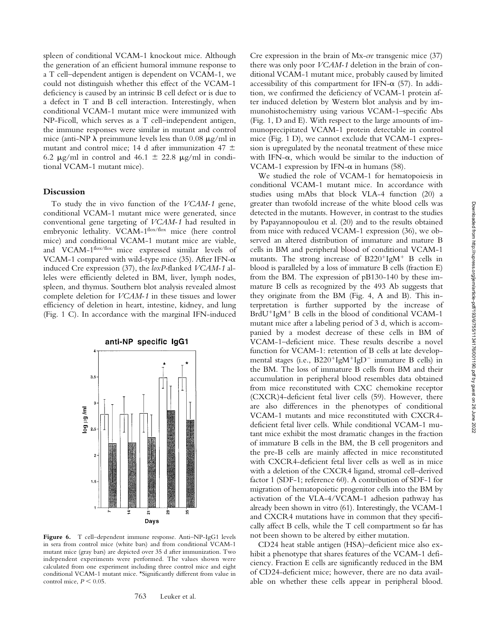spleen of conditional VCAM-1 knockout mice. Although the generation of an efficient humoral immune response to a T cell–dependent antigen is dependent on VCAM-1, we could not distinguish whether this effect of the VCAM-1 deficiency is caused by an intrinsic B cell defect or is due to a defect in T and B cell interaction. Interestingly, when conditional VCAM-1 mutant mice were immunized with NP-Ficoll, which serves as a T cell–independent antigen, the immune responses were similar in mutant and control mice (anti-NP  $\lambda$  preimmune levels less than 0.08  $\mu$ g/ml in mutant and control mice; 14 d after immunization 47  $\pm$ 6.2  $\mu$ g/ml in control and 46.1  $\pm$  22.8  $\mu$ g/ml in conditional VCAM-1 mutant mice).

#### **Discussion**

To study the in vivo function of the *VCAM-1* gene, conditional VCAM-1 mutant mice were generated, since conventional gene targeting of *VCAM-1* had resulted in embryonic lethality. VCAM-1flox/flox mice (here control mice) and conditional VCAM-1 mutant mice are viable, and VCAM-1flox/flox mice expressed similar levels of VCAM-1 compared with wild-type mice (35). After IFN- $\alpha$ induced Cre expression (37), the *loxP-*flanked *VCAM-1* alleles were efficiently deleted in BM, liver, lymph nodes, spleen, and thymus. Southern blot analysis revealed almost complete deletion for *VCAM-1* in these tissues and lower efficiency of deletion in heart, intestine, kidney, and lung (Fig. 1 C). In accordance with the marginal IFN-induced



**Figure 6.** T cell–dependent immune response. Anti–NP-IgG1 levels in sera from control mice (white bars) and from conditional VCAM-1 mutant mice (gray bars) are depicted over 35 d after immunization. Two independent experiments were performed. The values shown were calculated from one experiment including three control mice and eight conditional VCAM-1 mutant mice. \*Significantly different from value in control mice,  $P < 0.05$ .

Cre expression in the brain of Mx-*cre* transgenic mice (37) there was only poor *VCAM-1* deletion in the brain of conditional VCAM-1 mutant mice, probably caused by limited accessibility of this compartment for IFN- $\alpha$  (57). In addition, we confirmed the deficiency of VCAM-1 protein after induced deletion by Western blot analysis and by immunohistochemistry using various VCAM-1–specific Abs (Fig. 1, D and E). With respect to the large amounts of immunoprecipitated VCAM-1 protein detectable in control mice (Fig. 1 D), we cannot exclude that VCAM-1 expression is upregulated by the neonatal treatment of these mice with IFN- $\alpha$ , which would be similar to the induction of VCAM-1 expression by IFN- $\alpha$  in humans (58).

We studied the role of VCAM-1 for hematopoiesis in conditional VCAM-1 mutant mice. In accordance with studies using mAbs that block VLA-4 function (20) a greater than twofold increase of the white blood cells was detected in the mutants. However, in contrast to the studies by Papayannopoulou et al. (20) and to the results obtained from mice with reduced VCAM-1 expression (36), we observed an altered distribution of immature and mature B cells in BM and peripheral blood of conditional VCAM-1 mutants. The strong increase of  $B220^+$ IgM<sup>+</sup> B cells in blood is paralleled by a loss of immature B cells (fraction E) from the BM. The expression of pB130-140 by these immature B cells as recognized by the 493 Ab suggests that they originate from the BM (Fig. 4, A and B). This interpretation is further supported by the increase of BrdU<sup>+</sup>IgM<sup>+</sup> B cells in the blood of conditional VCAM-1 mutant mice after a labeling period of 3 d, which is accompanied by a modest decrease of these cells in BM of VCAM-1–deficient mice. These results describe a novel function for VCAM-1: retention of B cells at late developmental stages (i.e.,  $B220^{+}IgM^{+}IgD^{-}$  immature B cells) in the BM. The loss of immature B cells from BM and their accumulation in peripheral blood resembles data obtained from mice reconstituted with CXC chemokine receptor (CXCR)4-deficient fetal liver cells (59). However, there are also differences in the phenotypes of conditional VCAM-1 mutants and mice reconstituted with CXCR4 deficient fetal liver cells. While conditional VCAM-1 mutant mice exhibit the most dramatic changes in the fraction of immature B cells in the BM, the B cell progenitors and the pre-B cells are mainly affected in mice reconstituted with CXCR4-deficient fetal liver cells as well as in mice with a deletion of the CXCR4 ligand, stromal cell–derived factor 1 (SDF-1; reference 60). A contribution of SDF-1 for migration of hematopoietic progenitor cells into the BM by activation of the VLA-4/VCAM-1 adhesion pathway has already been shown in vitro (61). Interestingly, the VCAM-1 and CXCR4 mutations have in common that they specifically affect B cells, while the T cell compartment so far has not been shown to be altered by either mutation.

CD24 heat stable antigen (HSA)–deficient mice also exhibit a phenotype that shares features of the VCAM-1 deficiency. Fraction E cells are significantly reduced in the BM of CD24-deficient mice; however, there are no data available on whether these cells appear in peripheral blood.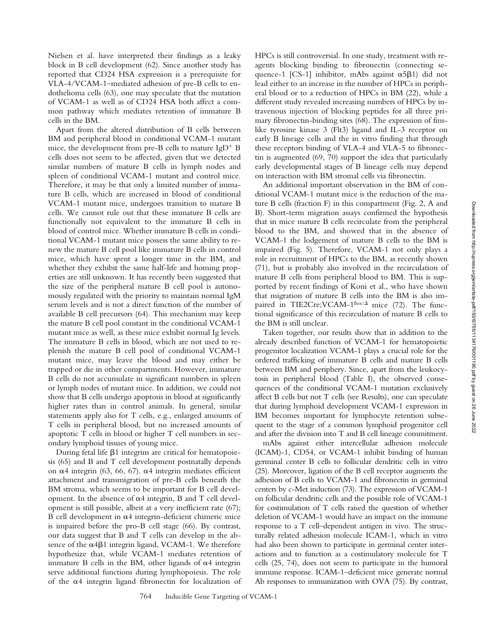Nielsen et al. have interpreted their findings as a leaky block in B cell development (62). Since another study has reported that CD24 HSA expression is a prerequisite for VLA-4/VCAM-1–mediated adhesion of pre-B cells to endothelioma cells (63), one may speculate that the mutation of VCAM-1 as well as of CD24 HSA both affect a common pathway which mediates retention of immature B cells in the BM.

Apart from the altered distribution of B cells between BM and peripheral blood in conditional VCAM-1 mutant mice, the development from pre-B cells to mature  $IgD^+B$ cells does not seem to be affected, given that we detected similar numbers of mature B cells in lymph nodes and spleen of conditional VCAM-1 mutant and control mice. Therefore, it may be that only a limited number of immature B cells, which are increased in blood of conditional VCAM-1 mutant mice, undergoes transition to mature B cells. We cannot rule out that these immature B cells are functionally not equivalent to the immature B cells in blood of control mice. Whether immature B cells in conditional VCAM-1 mutant mice possess the same ability to renew the mature B cell pool like immature B cells in control mice, which have spent a longer time in the BM, and whether they exhibit the same half-life and homing properties are still unknown. It has recently been suggested that the size of the peripheral mature B cell pool is autonomously regulated with the priority to maintain normal IgM serum levels and is not a direct function of the number of available B cell precursors (64). This mechanism may keep the mature B cell pool constant in the conditional VCAM-1 mutant mice as well, as these mice exhibit normal Ig levels. The immature B cells in blood, which are not used to replenish the mature B cell pool of conditional VCAM-1 mutant mice, may leave the blood and may either be trapped or die in other compartments. However, immature B cells do not accumulate in significant numbers in spleen or lymph nodes of mutant mice. In addition, we could not show that B cells undergo apoptosis in blood at significantly higher rates than in control animals. In general, similar statements apply also for T cells, e.g., enlarged amounts of T cells in peripheral blood, but no increased amounts of apoptotic T cells in blood or higher T cell numbers in secondary lymphoid tissues of young mice.

During fetal life  $\beta$ 1 integrins are critical for hematopoiesis (65) and B and T cell development postnatally depends on  $\alpha$ 4 integrin (63, 66, 67).  $\alpha$ 4 integrin mediates efficient attachment and transmigration of pre-B cells beneath the BM stroma, which seems to be important for B cell development. In the absence of  $\alpha$ 4 integrin, B and T cell development is still possible, albeit at a very inefficient rate (67); B cell development in  $\alpha$ 4 integrin-deficient chimeric mice is impaired before the pro-B cell stage (66). By contrast, our data suggest that B and T cells can develop in the absence of the  $\alpha$ 4 $\beta$ 1 integrin ligand, VCAM-1. We therefore hypothesize that, while VCAM-1 mediates retention of immature B cells in the BM, other ligands of  $\alpha$ 4 integrin serve additional functions during lymphopoiesis. The role of the  $\alpha$ 4 integrin ligand fibronectin for localization of HPCs is still controversial. In one study, treatment with reagents blocking binding to fibronectin (connecting sequence-1 [CS-1] inhibitor, mAbs against  $\alpha$ 5 $\beta$ 1) did not lead either to an increase in the number of HPCs in peripheral blood or to a reduction of HPCs in BM (22), while a different study revealed increasing numbers of HPCs by intravenous injection of blocking peptides for all three primary fibronectin-binding sites (68). The expression of fmslike tyrosine kinase 3 (Flt3) ligand and IL-3 receptor on early B lineage cells and the in vitro finding that through these receptors binding of VLA-4 and VLA-5 to fibronectin is augmented (69, 70) support the idea that particularly early developmental stages of B lineage cells may depend on interaction with BM stromal cells via fibronectin.

An additional important observation in the BM of conditional VCAM-1 mutant mice is the reduction of the mature B cells (fraction F) in this compartment (Fig. 2, A and B). Short-term migration assays confirmed the hypothesis that in mice mature B cells recirculate from the peripheral blood to the BM, and showed that in the absence of VCAM-1 the lodgement of mature B cells to the BM is impaired (Fig. 5). Therefore, VCAM-1 not only plays a role in recruitment of HPCs to the BM, as recently shown (71), but is probably also involved in the recirculation of mature B cells from peripheral blood to BM. This is supported by recent findings of Koni et al., who have shown that migration of mature B cells into the BM is also impaired in TIE2Cre; VCAM- $1<sup>flox/A</sup>$  mice (72). The functional significance of this recirculation of mature B cells to the BM is still unclear.

Taken together, our results show that in addition to the already described function of VCAM-1 for hematopoietic progenitor localization VCAM-1 plays a crucial role for the ordered trafficking of immature B cells and mature B cells between BM and periphery. Since, apart from the leukocytosis in peripheral blood (Table I), the observed consequences of the conditional VCAM-1 mutation exclusively affect B cells but not T cells (see Results), one can speculate that during lymphoid development VCAM-1 expression in BM becomes important for lymphocyte retention subsequent to the stage of a common lymphoid progenitor cell and after the division into T and B cell lineage commitment.

mAbs against either intercellular adhesion molecule (ICAM)-1, CD54, or VCAM-1 inhibit binding of human germinal center B cells to follicular dendritic cells in vitro (25). Moreover, ligation of the B cell receptor augments the adhesion of B cells to VCAM-1 and fibronectin in germinal centers by c-Met induction (73). The expression of VCAM-1 on follicular dendritic cells and the possible role of VCAM-1 for costimulation of T cells raised the question of whether deletion of VCAM-1 would have an impact on the immune response to a T cell–dependent antigen in vivo. The structurally related adhesion molecule ICAM-1, which in vitro had also been shown to participate in germinal center interactions and to function as a costimulatory molecule for T cells (25, 74), does not seem to participate in the humoral immune response. ICAM-1–deficient mice generate normal Ab responses to immunization with OVA (75). By contrast,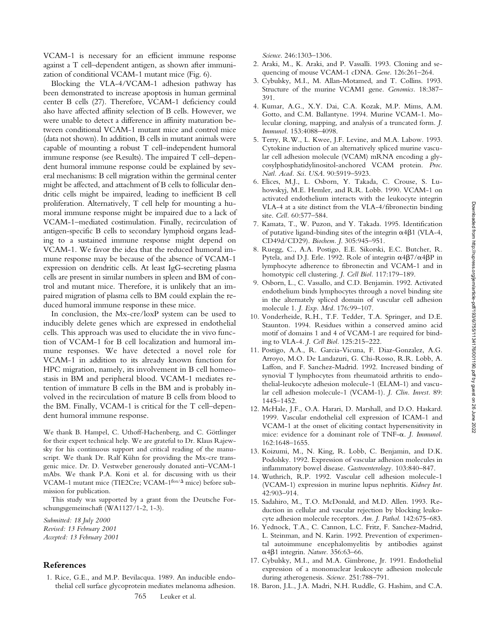VCAM-1 is necessary for an efficient immune response against a T cell–dependent antigen, as shown after immunization of conditional VCAM-1 mutant mice (Fig. 6).

Blocking the VLA-4/VCAM-1 adhesion pathway has been demonstrated to increase apoptosis in human germinal center B cells (27). Therefore, VCAM-1 deficiency could also have affected affinity selection of B cells. However, we were unable to detect a difference in affinity maturation between conditional VCAM-1 mutant mice and control mice (data not shown). In addition, B cells in mutant animals were capable of mounting a robust T cell–independent humoral immune response (see Results). The impaired T cell–dependent humoral immune response could be explained by several mechanisms: B cell migration within the germinal center might be affected, and attachment of B cells to follicular dendritic cells might be impaired, leading to inefficient B cell proliferation. Alternatively, T cell help for mounting a humoral immune response might be impaired due to a lack of VCAM-1–mediated costimulation. Finally, recirculation of antigen-specific B cells to secondary lymphoid organs leading to a sustained immune response might depend on VCAM-1. We favor the idea that the reduced humoral immune response may be because of the absence of VCAM-1 expression on dendritic cells. At least IgG-secreting plasma cells are present in similar numbers in spleen and BM of control and mutant mice. Therefore, it is unlikely that an impaired migration of plasma cells to BM could explain the reduced humoral immune response in these mice.

In conclusion, the Mx-cre/loxP system can be used to inducibly delete genes which are expressed in endothelial cells. This approach was used to elucidate the in vivo function of VCAM-1 for B cell localization and humoral immune responses. We have detected a novel role for VCAM-1 in addition to its already known function for HPC migration, namely, its involvement in B cell homeostasis in BM and peripheral blood. VCAM-1 mediates retention of immature B cells in the BM and is probably involved in the recirculation of mature B cells from blood to the BM. Finally, VCAM-1 is critical for the T cell–dependent humoral immune response.

We thank B. Hampel, C. Uthoff-Hachenberg, and C. Göttlinger for their expert technical help. We are grateful to Dr. Klaus Rajewsky for his continuous support and critical reading of the manuscript. We thank Dr. Ralf Kühn for providing the Mx-cre transgenic mice. Dr. D. Vestweber generously donated anti–VCAM-1 mAbs. We thank P.A. Koni et al. for discussing with us their VCAM-1 mutant mice (TIE2Cre; VCAM-1flox/ $\Delta$  mice) before submission for publication.

This study was supported by a grant from the Deutsche Forschungsgemeinschaft (WA1127/1-2, 1-3).

*Submitted: 18 July 2000 Revised: 13 February 2001 Accepted: 13 February 2001*

## **References**

1. Rice, G.E., and M.P. Bevilacqua. 1989. An inducible endothelial cell surface glycoprotein mediates melanoma adhesion. *Science*. 246:1303–1306.

- 2. Araki, M., K. Araki, and P. Vassalli. 1993. Cloning and sequencing of mouse VCAM-1 cDNA. *Gene.* 126:261–264.
- 3. Cybulsky, M.I., M. Allan-Motamed, and T. Collins. 1993. Structure of the murine VCAM1 gene. *Genomics.* 18:387– 391.
- 4. Kumar, A.G., X.Y. Dai, C.A. Kozak, M.P. Mims, A.M. Gotto, and C.M. Ballantyne. 1994. Murine VCAM-1. Molecular cloning, mapping, and analysis of a truncated form. *J. Immunol.* 153:4088–4098.
- 5. Terry, R.W., L. Kwee, J.F. Levine, and M.A. Labow. 1993. Cytokine induction of an alternatively spliced murine vascular cell adhesion molecule (VCAM) mRNA encoding a glycosylphosphatidylinositol-anchored VCAM protein. *Proc. Natl. Acad. Sci. USA*. 90:5919–5923.
- 6. Elices, M.J., L. Osborn, Y. Takada, C. Crouse, S. Luhowskyj, M.E. Hemler, and R.R. Lobb. 1990. VCAM-1 on activated endothelium interacts with the leukocyte integrin VLA-4 at a site distinct from the VLA-4/fibronectin binding site. *Cell.* 60:577–584.
- 7. Kamata, T., W. Puzon, and Y. Takada. 1995. Identification of putative ligand-binding sites of the integrin  $\alpha$ 4 $\beta$ 1 (VLA-4, CD49d/CD29). *Biochem. J*. 305:945–951.
- 8. Ruegg, C., A.A. Postigo, E.E. Sikorski, E.C. Butcher, R. Pytela, and D.J. Erle. 1992. Role of integrin  $\alpha$ 4 $\beta$ 7/ $\alpha$ 4 $\beta$ P in lymphocyte adherence to fibronectin and VCAM-1 and in homotypic cell clustering. *J. Cell Biol.* 117:179–189.
- 9. Osborn, L., C. Vassallo, and C.D. Benjamin. 1992. Activated endothelium binds lymphocytes through a novel binding site in the alternately spliced domain of vascular cell adhesion molecule 1. *J. Exp. Med*. 176:99–107.
- 10. Vonderheide, R.H., T.F. Tedder, T.A. Springer, and D.E. Staunton. 1994. Residues within a conserved amino acid motif of domains 1 and 4 of VCAM-1 are required for binding to VLA-4. *J. Cell Biol.* 125:215–222.
- 11. Postigo, A.A., R. Garcia-Vicuna, F. Diaz-Gonzalez, A.G. Arroyo, M.O. De Landazuri, G. Chi-Rosso, R.R. Lobb, A. Laffon, and F. Sanchez-Madrid. 1992. Increased binding of synovial T lymphocytes from rheumatoid arthritis to endothelial-leukocyte adhesion molecule-1 (ELAM-1) and vascular cell adhesion molecule-1 (VCAM-1). *J. Clin. Invest.* 89: 1445–1452.
- 12. McHale, J.F., O.A. Harari, D. Marshall, and D.O. Haskard. 1999. Vascular endothelial cell expression of ICAM-1 and VCAM-1 at the onset of eliciting contact hypersensitivity in mice: evidence for a dominant role of TNF-a. *J. Immunol.* 162:1648–1655.
- 13. Koizumi, M., N. King, R. Lobb, C. Benjamin, and D.K. Podolsky. 1992. Expression of vascular adhesion molecules in inflammatory bowel disease. *Gastroenterology.* 103:840–847.
- 14. Wuthrich, R.P. 1992. Vascular cell adhesion molecule-1 (VCAM-1) expression in murine lupus nephritis. *Kidney Int.* 42:903–914.
- 15. Sadahiro, M., T.O. McDonald, and M.D. Allen. 1993. Reduction in cellular and vascular rejection by blocking leukocyte adhesion molecule receptors. *Am. J. Pathol.* 142:675–683.
- 16. Yednock, T.A., C. Cannon, L.C. Fritz, F. Sanchez-Madrid, L. Steinman, and N. Karin. 1992. Prevention of experimental autoimmune encephalomyelitis by antibodies against a4b1 integrin. *Nature.* 356:63–66.
- 17. Cybulsky, M.I., and M.A. Gimbrone, Jr. 1991. Endothelial expression of a mononuclear leukocyte adhesion molecule during atherogenesis. *Science.* 251:788–791.
- 18. Baron, J.L., J.A. Madri, N.H. Ruddle, G. Hashim, and C.A.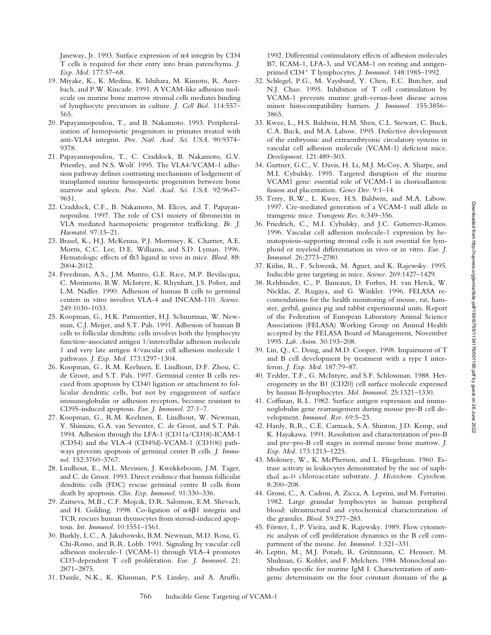Janeway, Jr. 1993. Surface expression of  $\alpha$ 4 integrin by CD4 T cells is required for their entry into brain parenchyma. *J. Exp. Med.* 177:57–68.

- 19. Miyake, K., K. Medina, K. Ishihara, M. Kimoto, R. Auerbach, and P.W. Kincade. 1991. A VCAM-like adhesion molecule on murine bone marrow stromal cells mediates binding of lymphocyte precursors in culture. *J. Cell Biol.* 114:557– 565.
- 20. Papayannopoulou, T., and B. Nakamoto. 1993. Peripheralization of hemopoietic progenitors in primates treated with anti-VLA4 integrin. *Proc. Natl. Acad. Sci. USA*. 90:9374– 9378.
- 21. Papayannopoulou, T., C. Craddock, B. Nakamoto, G.V. Priestley, and N.S. Wolf. 1995. The VLA4/VCAM-1 adhesion pathway defines contrasting mechanisms of lodgement of transplanted murine hemopoietic progenitors between bone marrow and spleen. *Proc. Natl. Acad. Sci. USA.* 92:9647– 9651.
- 22. Craddock, C.F., B. Nakamoto, M. Elices, and T. Papayannopoulou. 1997. The role of CS1 moiety of fibronectin in VLA mediated haemopoietic progenitor trafficking. *Br. J. Haematol.* 97:15–21.
- 23. Brasel, K., H.J. McKenna, P.J. Morrissey, K. Charrier, A.E. Morris, C.C. Lee, D.E. Williams, and S.D. Lyman. 1996. Hematologic effects of flt3 ligand in vivo in mice. *Blood.* 88: 2004-2012.
- 24. Freedman, A.S., J.M. Munro, G.E. Rice, M.P. Bevilacqua, C. Morimoto, B.W. McIntyre, K. Rhynhart, J.S. Pober, and L.M. Nadler. 1990. Adhesion of human B cells to germinal centers in vitro involves VLA-4 and INCAM-110. *Science.* 249:1030–1033.
- 25. Koopman, G., H.K. Parmentier, H.J. Schuurman, W. Newman, C.J. Meijer, and S.T. Pals. 1991. Adhesion of human B cells to follicular dendritic cells involves both the lymphocyte function–associated antigen 1/intercellular adhesion molecule 1 and very late antigen 4/vascular cell adhesion molecule 1 pathways. *J. Exp. Med.* 173:1297–1304.
- 26. Koopman, G., R.M. Keehnen, E. Lindhout, D.F. Zhou, C. de Groot, and S.T. Pals. 1997. Germinal center B cells rescued from apoptosis by CD40 ligation or attachment to follicular dendritic cells, but not by engagement of surface immunoglobulin or adhesion receptors, become resistant to CD95-induced apoptosis. *Eur. J. Immunol.* 27:1–7.
- 27. Koopman, G., R.M. Keehnen, E. Lindhout, W. Newman, Y. Shimizu, G.A. van Seventer, C. de Groot, and S.T. Pals. 1994. Adhesion through the LFA-1 (CD11a/CD18)-ICAM-1 (CD54) and the VLA-4 (CD49d)-VCAM-1 (CD106) pathways prevents apoptosis of germinal center B cells. *J. Immunol.* 152:3760–3767.
- 28. Lindhout, E., M.L. Mevissen, J. Kwekkeboom, J.M. Tager, and C. de Groot. 1993. Direct evidence that human follicular dendritic cells (FDC) rescue germinal centre B cells from death by apoptosis. *Clin. Exp. Immunol.* 91:330–336.
- 29. Zaitseva, M.B., C.F. Mojcik, D.R. Salomon, E.M. Shevach, and H. Golding. 1998. Co-ligation of  $\alpha$ 4 $\beta$ 1 integrin and TCR rescues human thymocytes from steroid-induced apoptosis. *Int. Immunol.* 10:1551–1561.
- 30. Burkly, L.C., A. Jakubowski, B.M. Newman, M.D. Rosa, G. Chi-Rosso, and R.R. Lobb. 1991. Signaling by vascular cell adhesion molecule-1 (VCAM-1) through VLA-4 promotes CD3-dependent T cell proliferation. *Eur. J. Immunol*. 21: 2871–2875.
- 31. Damle, N.K., K. Klussman, P.S. Linsley, and A. Aruffo.

1992. Differential costimulatory effects of adhesion molecules B7, ICAM-1, LFA-3, and VCAM-1 on resting and antigenprimed CD4<sup>1</sup> T lymphocytes. *J. Immunol.* 148:1985–1992.

- 32. Schlegel, P.G., M. Vaysburd, Y. Chen, E.C. Butcher, and N.J. Chao. 1995. Inhibition of T cell costimulation by VCAM-1 prevents murine graft-versus-host disease across minor histocompatibility barriers. *J. Immunol.* 155:3856– 3865.
- 33. Kwee, L., H.S. Baldwin, H.M. Shen, C.L. Stewart, C. Buck, C.A. Buck, and M.A. Labow. 1995. Defective development of the embryonic and extraembryonic circulatory systems in vascular cell adhesion molecule (VCAM-1) deficient mice. *Development.* 121:489–503.
- 34. Gurtner, G.C., V. Davis, H. Li, M.J. McCoy, A. Sharpe, and M.I. Cybulsky. 1995. Targeted disruption of the murine VCAM1 gene: essential role of VCAM-1 in chorioallantoic fusion and placentation. *Genes Dev*. 9:1–14.
- 35. Terry, R.W., L. Kwee, H.S. Baldwin, and M.A. Labow. 1997. Cre-mediated generation of a VCAM-1 null allele in transgenic mice. *Transgenic Res.* 6:349–356.
- 36. Friedrich, C., M.I. Cybulsky, and J.C. Gutierrez-Ramos. 1996. Vascular cell adhesion molecule-1 expression by hematopoiesis-supporting stromal cells is not essential for lymphoid or myeloid differentiation in vivo or in vitro. *Eur. J. Immunol.* 26:2773–2780.
- 37. Kühn, R., F. Schwenk, M. Aguet, and K. Rajewsky. 1995. Inducible gene targeting in mice. *Science.* 269:1427–1429.
- 38. Rehbinder, C., P. Baneaux, D. Forbes, H. van Herck, W. Nicklas, Z. Rugaya, and G. Winkler. 1996. FELASA recomendations for the health monitoring of mouse, rat, hamster, gerbil, guinea pig and rabbit experimental units. Report of the Federation of European Laboratory Animal Science Associations (FELASA) Working Group on Animal Health accepted by the FELASA Board of Management, November 1995. *Lab. Anim.* 30:193–208.
- 39. Lin, Q., C. Dong, and M.D. Cooper. 1998. Impairment of T and B cell development by treatment with a type I interferon. *J. Exp. Med.* 187:79–87.
- 40. Tedder, T.F., G. McIntyre, and S.F. Schlossman. 1988. Heterogeneity in the B1 (CD20) cell surface molecule expressed by human B-lymphocytes. *Mol. Immunol.* 25:1321–1330.
- 41. Coffman, R.L. 1982. Surface antigen expression and immunoglobulin gene rearrangement during mouse pre-B cell development. *Immunol. Rev.* 69:5–23.
- 42. Hardy, R.R., C.E. Carmack, S.A. Shinton, J.D. Kemp, and K. Hayakawa. 1991. Resolution and characterization of pro-B and pre–pro-B cell stages in normal mouse bone marrow. *J. Exp. Med.* 173:1213–1225.
- 43. Moloney, W., K. McPherson, and L. Fliegelman. 1960. Estrase activity in leukocytes demonstrated by the use of naphthol as-D chloroacetate substrate. *J. Histochem. Cytochem.* 8:200–208.
- 44. Grossi, C., A. Cadoni, A. Zicca, A. Leprini, and M. Ferrarini. 1982. Large granular lymphocytes in human peripheral blood: ultrastructural and cytochemical characterization of the granules. *Blood.* 59:277–283.
- 45. Förster, I., P. Vieira, and K. Rajewsky. 1989. Flow cytometric analysis of cell proliferation dynamics in the B cell compartment of the mouse. *Int. Immunol.* 1:321–331.
- 46. Leptin, M., M.J. Potash, R. Grützmann, C. Heusser, M. Shulman, G. Kohler, and F. Melchers. 1984. Monoclonal antibodies specific for murine IgM I. Characterization of antigenic determinants on the four constant domains of the  $\mu$